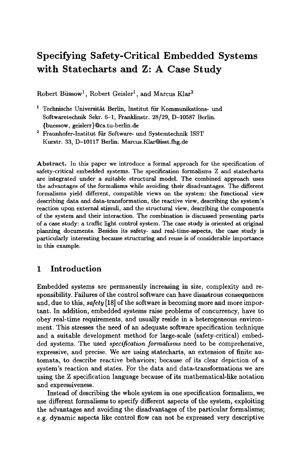# **Specifying Safety-Critical Embedded Systems with Statecharts and Z: A Case Study**

Robert Büssow<sup>1</sup>, Robert Geisler<sup>1</sup>, and Marcus Klar<sup>2</sup>

- <sup>1</sup> Technische Universität Berlin, Institut für Kommunikations- und Softwaretechnik Sekr. 6-1, Franldinstr. 28/29, D-10587 Berlin. {buessow, geislerr} @cs.tu-berlin.de
- 2 Fraunhofer-Institut fiir Software- und Systemtechnik ISST Kurstr. 33, D-10117 Berlin. Marcus.Klar@isst.fhg.de

Abstract. In this paper we introduce a formal approach for the specification of safety-critical embedded systems. The specification formalisms Z and statecharts are integrated under a suitable structural model. The combined approach uses the advantages of the formalisms while avoiding their disadvantages. The different formalisms yield different, compatible views on the system: the functional view describing data and data-transformation, the reactive view, describing the system's reaction upon external stimuli, and the structural view, describing the components of the system and their interaction. The combination is discussed presenting parts of a case study: a traffic light control system. The case study is oriented at original planning documents. Besides its safety- and real-time-aspects, the case study is particularly interesting because structuring and reuse is of considerable importance in this example.

# **1 Introduction**

Embedded systems are permanently increasing in size, complexity and responsibility. Failures of the control software can have disastrous consequences and, due to this, *safety* [18] of the software is becoming more and more important. In addition, embedded systems raise problems of concurrency, have to obey real-time requirements, and usually reside in a heterogeneous environment. This stresses the need of an adequate software specification technique and a suitable development method for large-scale (safety-critical) embedded systems. The used *specification formalisms* need to be comprehensive, expressive, and precise. We are using statecharts, an extension of finite automata, to describe reactive behaviors; because of its clear depiction of a system's reaction and states. For the data and data-transformations we are using the Z specification language because of its mathematical-like notation and expressiveness.

Instead of describing the whole system in one specification formalism, we use different formalisms to specify different aspects of the system, exploiting the advantages and avoiding the disadvantages of the particular formalisms; e.g. dynamic aspects like control flow can not be expressed very descriptive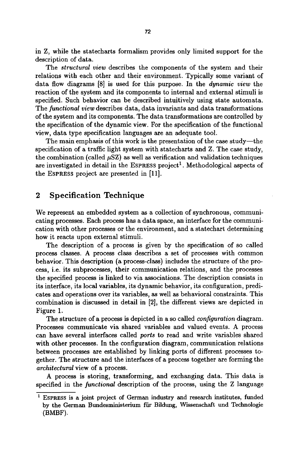in Z, while the statecharts formalism provides only limited support for the description of data.

The *structural view* describes the components of the system and their relations with each other and their environment. Typically some variant of data flow diagrams [8] is used for this purpose. In the *dynamic view* the reaction of the system and its components to internal and external stimuli is specified. Such behavior can be described intuitively using state automata. The *functional view* describes data, data invariants and data transformations of the system and its components. The data transformations are controlled by the specification of the dynamic view. For the specification of the functional view, data type specification languages are an adequate tool.

The main emphasis of this work is the presentation of the case study--the specification of a traffic light system with statecharts and Z. The case study, the combination (called  $\mu$ SZ) as well as verification and validation techniques are investigated in detail in the ESPRESS project<sup>1</sup>. Methodological aspects of the ESPRESS project are presented in [11].

# 2 Specification Technique

We represent an embedded system as a collection of synchronous, communicating processes. Each process has a data space, an interface for the communication with other processes or the environment, and a statechart determining how it reacts upon external stimuli.

The description of a process is given by the specification of so called process classes. A process class describes a set of processes with common behavior. This description (a process-class) includes the structure of the process, i.e. its subprocesses, their communication relations, and the processes the specified process is linked to via associations. The description consists in its interface, its local variables, its dynamic behavior, its configuration, predicates and operations over its variables, as well as behavioral constraints. This combination is discussed in detail in [2], the different views are depicted in Figure 1.

The structure of a process is depicted in a so called *configuration* diagram. Processes communicate via shared variables and valued events. A process can have several interfaces called *ports* to read and write variables shared with other processes. In the configuration diagram, communication relations between processes are established by linking ports of different processes together. The structure and the interfaces of a process together are forming the *architectural* view of a process.

A process is storing, transforming, and exchanging data. This data is specified in the *functional* description of the process, using the Z language

<sup>&</sup>lt;sup>1</sup> ESPRESS is a joint project of German industry and research institutes, funded by the German Bundesministerium fiir Bildung, Wissenschaft und Technologie (BMBF).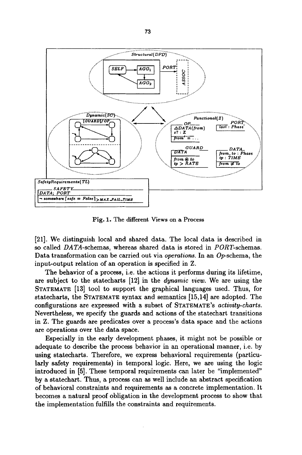

Fig. 1. The different Views on a Process

[21]. We distinguish local and shared data. The local data is described in so called *DATA-schemas,* whereas shared data is stored in *PORT-schemas.*  Data transformation can be carried out via *operations.* In an Op-schema, the input-output relation of an operation is specified in Z.

The behavior of a process, i.e. the actions it performs during its lifetime, are subject to the statecharts [12] in the *dynamic view.* We are using the STATEMATE [13] too1 to support the graphical languages used. Thus, for statecharts, the STATEMATE syntax and semantics [15,14] are adopted. The configurations are expressed with a subset of STATEMATE'S *actwity-charts.*  Nevertheless, we specify the guards and actions of the statechart transitions in Z. The guards are predicates over a process's data space and the actions are operations over the data space.

Especially in the early development phases, it might not be possible or adequate to describe the process behavior in an operational manner, i.e. by using statecharts. Therefore, we express behavioral requirements (particularly safety requirements) in temporal logic. Here, we are using the logic introduced in [5]. These temporal requirements can later be "implemented" by a statechart. Thus, a process can as well include an abstract specification of behavioral constraints and requirements as a concrete implementation. It becomes a natural proof obligation in the development process to show that the implementation fulfills the constraints and requirements.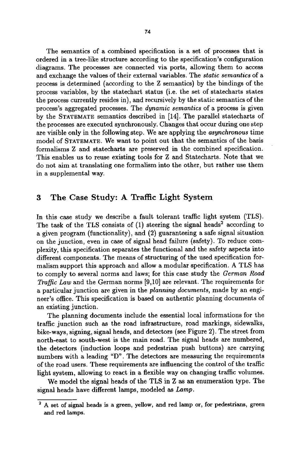The semantics of a combined specification is a set of processes that is ordered in a tree-like structure according to the specification's configuration diagrams. The processes are connected via ports, allowing them to access and exchange the values of their external variables. The *static semantics* of a process is determined (according to the Z semantics) by the bindings of the process variables, by the statechart status (i.e. the set of statecharts states the process currently resides in), and recursively by the static semantics of the process's aggregated processes. The *dynamic semantics* of a process is given by the STATEMATE semantics described in [14]. The parallel statecharts of the processes are executed synchronously. Changes that occur during one step are visible only in the following step. We are applying the *asynchronous* time model of STATEMATE. We want to point out that the semantics of the basis formalisms Z and statecharts are preserved in the combined specification. This enables us to reuse existing tools for Z and Statecharts. Note that we do not aim at translating one formalism into the other, but rather use them in a supplemental way.

# **3 The Case Study: A Traffic Light System**

In this case study we describe a fault tolerant traffic light system (TLS). The task of the TLS consists of  $(1)$  steering the signal heads<sup>2</sup> according to a given program (functionality), and (2) guaranteeing a safe signal situation on the junction, even in case of signal head failure (safety). To reduce complexity, this specification separates the functional and the safety aspects into different components. The means of structuring of the used specification formalism support this approach and allow a modular specification. A TLS has to comply to several norms and laws; for this case study the *German Road Traffic Law* and the German norms [9,10] are relevant. The requirements for a particular junction are given in the *planning documents,* made by an engineer's office. This specification is based on authentic planning documents of an existing junction.

The planning documents include the essential local informations for the traffic junction such as the road infrastructure, road markings, sidewalks, bike-ways, signing, signal heads, and detectors (see Figure 2). The street from north-east to south-west is the main road. The signal heads are numbered, the detectors (induction loops and pedestrian push buttons) are carrying numbers with a leading "D". The detectors are measuring the requirements of the road users. These requirements are influencing the control of the traffic light system, allowing to react in a flexible way on changing traffic volumes.

We model the signal heads of the TLS in Z as an enumeration type. The signal heads have different lamps, modeled as *Lamp.* 

 $\overline{2}$  A set of signal heads is a green, yellow, and red lamp or, for pedestrians, green and red lamps.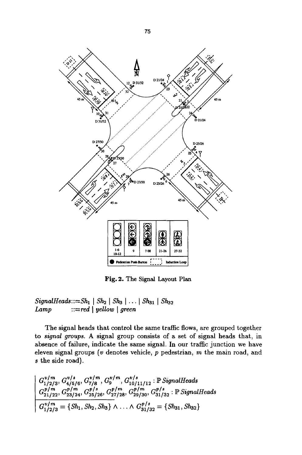

Fig. 2. The Signal Layout Plan

*SignalHeads::=Sh*<sub>1</sub> | *Sh*<sub>2</sub> | *Sh*<sub>3</sub> | ... | *Sh*<sub>31</sub> | *Sh*<sub>32</sub> *Lamp*  $::=red | yellow | green$ 

The signal heads that control the same traffic flows, are grouped together to *signal 9roups.* A signal group consists of a set of signal heads that, in absence of failure, indicate the same signal. In our traffic junction we have eleven signal groups ( $v$  denotes vehicle,  $p$  pedestrian,  $m$  the main road, and s the side road).

$$
G_{1/2/3}^{v/m}, G_{4/5/6}^{v/s}, G_{7/8}^{v/m}, G_{9}^{v/m}, G_{10/11/12}^{v/s}: \mathbb{P} SignalHeads
$$
  
\n
$$
G_{21/22}^{p/m}, G_{23/24}^{p/m}, G_{25/26}^{p/s}, G_{27/28}^{p/m}, G_{29/30}^{p/m}, G_{31/32}^{p/s}: \mathbb{P} SignalHeads
$$
  
\n
$$
G_{1/2/3}^{v/m} = \{Sh_1, Sh_2, Sh_3\} \wedge \ldots \wedge G_{31/32}^{p/s} = \{Sh_{31}, Sh_{32}\}
$$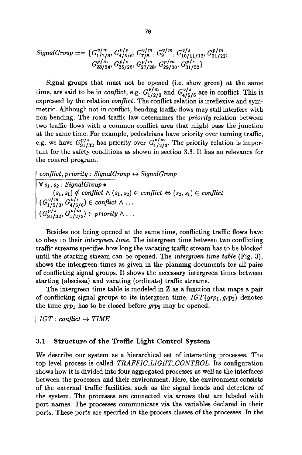$$
SignalGroup == \{G_{1/2/3}^{v/m}, G_{4/5/6}^{v/s}, G_{7/8}^{v/m}, G_{9}^{v/m}, G_{10/11/12}^{v/s}, G_{21/22}^{p/m}, G_{23/24}^{p/m}, G_{25/26}^{p/s}, G_{27/28}^{p/m}, G_{29/30}^{p/m}, G_{31/32}^{p/s}\}
$$

Signal groups that must not be opened (i.e. show green) at the same time, are said to be in *conflict*, e.g.  $G^{v/m}_{1/2/3}$  and  $G^{v/s}_{4/5/6}$  are in conflict. This is expressed by the relation *conflict.* The conflict relation is irrefiexive and symmetric. Although not in conflict, bending traffic flows may still interfere with non-bending. The road traffic law determines the *priority* relation between two traffic flows with a common conflict area that might pass the junction at the same time. For example, pedestrians have priority over turning traffic, e.g. we have  $G_{31/32}^{p/s}$  has priority over  $G_{1/2/3}^{v/m}$ . The priority relation is important for the safety conditions as shown in section 3.3. It has no relevance for the control program.

*conflict, priority : SignalGroup ~ SignalGroup* 

 $\overline{\forall s_1, s_2 : SignalGroup}$  $(s_1, s_1) \notin \mathit{conflict} \land (s_1, s_2) \in \mathit{conflict} \Leftrightarrow (s_2, s_1) \in \mathit{conflict}$  $G_{1/2/3}^{(2)}$ ,  $G_{4/5/6}^{(3)}$   $\in$  *conflict*  $\wedge \dots$  $(G_{31/32}^{p \, \ell \, s}, G_{1/2/3}^{v \, \ell \, m}) \in priority \wedge ...$ 

Besides not being opened at the same time, conflicting traffic flows have to obey to their *intergreen time.* The intergreen time between two conflicting traffic streams specifies how long the vacating traffic stream has to be blocked until the starting stream can be opened. The *intergreen time table* (Fig. 3), shows the intergreen times as given in the planning documents for all pairs of conflicting signal groups. It shows the necessary intergreen times between starting (abscissa) and vacating (ordinate) traffic streams.

The intergreen time table is modeled in Z as a function that maps a pair of conflicting signal groups to its intergreen time.  $IGT(grp_1, grp_2)$  denotes the time  $grp_1$  has to be closed before  $grp_2$  may be opened.

 $|IGT:conflict \rightarrow TIME$ 

#### **3.1 Structure of the Traffic Light Control System**

We describe our system as a hierarchical set of interacting processes. The top level process is called *TRAFFIC~IGHT\_CONTROL.* Its configuration shows how it is divided into four aggregated processes as well as the interfaces between the processes and their environment. Here, the environment consists of the external traffic facilities, such as the signal heads and detectors of the system. The processes are connected via arrows that are labeled with port names. The processes communicate via the variables declared in their ports. These ports are specified in the process classes of the processes. In the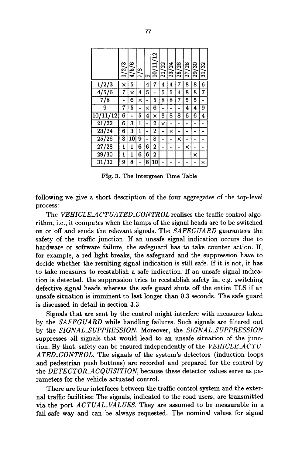|                    | 1/2/3    | 5/6<br>ఛ | $\frac{8}{7}$ | တ | 10/11/12         | 21/22 | 23/24 | 25/26 | /28<br>27, | 29/30 | 31/32 |
|--------------------|----------|----------|---------------|---|------------------|-------|-------|-------|------------|-------|-------|
| 1/2/3              | $\times$ | 5        |               | 4 | 7                | 4     | 4     | 7     | 8          | 8     | 6     |
| $\sqrt{4/5/6}$     | 7        | ×        | 4             | 5 |                  | 5     | 5     | 4     | 8          | 8     | 7     |
| $\overline{7/8}$   |          | 6        | ×             | - | 5                | 8     | 8     | 7     | 5          | 5     |       |
| 9                  | 7        | 5        |               | × | 6                |       |       |       | 4          | 4     | 9     |
| 10/11/12           | 6        |          | 5             | 4 | ×                | 8     | 8     | 8     | 6          | 6     | 4     |
| 21/22              | 6        | 3        | 1             |   | 2                | ×     |       |       |            |       |       |
| $\sqrt{23/24}$     | 6        | 3        | 1             | - | $\mathbf 2$      |       | ×     |       |            |       |       |
| $\sqrt{25/26}$     | 8        | 10       | 9             |   | 8                |       |       | ×     |            |       |       |
| 27/28              | 1        | 1        | 6             | 6 | $\boldsymbol{2}$ |       |       |       | ×          |       |       |
| 29/30              | 1        | 1        | 6             | 6 | 2                |       |       |       |            | ×     |       |
| $\overline{31}/32$ | 9        | 8        |               | 8 | 10               |       |       |       |            |       | ×     |

Fig. 3. The Intergreen Time Table

following we give a short description of the four aggregates of the top-level process:

The *VEHICLE.ACTUATED\_CONTROL* realizes the traffic control algorithm, i.e., it computes when the lamps of the signal heads are to be switched on or off and sends the relevant signals. The *SAFEGUARD* guarantees the safety of the traffic junction. If an unsafe signal indication occurs due to hardware or software failure, the safeguard has to take counter action. If, for example, a red light breaks, the safeguard and the suppression have to decide whether the resulting signal indication is still safe. If it is not, it has to take measures to reestablish a safe indication. If an unsafe signal indication is detected, the suppression tries to reestablish safety in, e.g. switching defective signal heads whereas the safe guard shuts off the entire TLS if an unsafe situation is imminent to last longer than 0.3 seconds. The safe guard is discussed in detail in section 3.3.

Signals that are sent by the control might interfere with measures taken by the *SAFEGUARD* while handling failures. Such signals are filtered out by the *SIGNAL\_SUPPRESSION.* Moreover, the *SIGNAL\_SUPPRESSION*  suppresses all signals that would lead to an unsafe situation of the junction. By that, safety can be ensured independently of the *VEHICLE\_ACTU-ATED\_CONTROL.* The signals of the system's detectors (induction loops and pedestrian push buttons) are recorded and prepared for the control by the *DETECTOR\_ACQUISITION,* because these detector values serve as parameters for the vehicle actuated control.

There are four interfaces between the traffic control system and the external traffic facilities: The signals, indicated to the road users, are transmitted via the port *ACTUAL\_VALUES.* They are assumed to be measurable in a fail-safe way and can be always requested. The nominal values for signal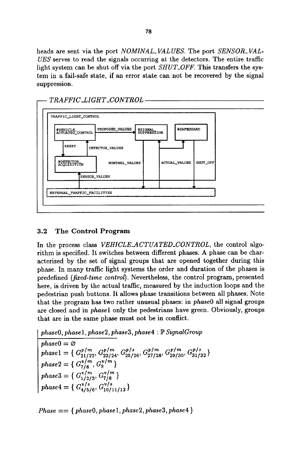heads are sent via the port *NOMINAL\_VALUES.* The port *SENSOR\_VAL-UES* serves to read the signals occurring at the detectors. The entire traffic light system can be shut off via the port *SHUT\_OFF.* This transfers the system in a fail-safe state, if an error state can not be recovered by the signal suppression.



# 3.2 The Control Program

In the process class *VEHICLE\_ACTUATED\_CONTROL,* the control algorithm is specified. It switches between different phases. A phase can be characterized by the set of signal groups that are opened together during this phase. In many traffic light systems the order and duration of the phases is predefined *(fixed-time control).* Nevertheless, the control program, presented here, is driven by the actual traffic, measured by the induction loops and the pedestrian push buttons. It allows phase transitions between all phases. Note that the program has two rather unusual phases: in *phaseO* all signal groups are closed and in *phasel* only the pedestrians have green. Obviously, groups that are in the same phase must not be in conflict.

*phaseO, phase l, phase2, phase3, phase4 : IP SignalGroup phaseO = 0*   $f_{phase1} = \{ G_{21/22}^{p/m}, G_{23/24}^{p/m}, G_{25/26}^{p/s}, G_{27/28}^{p/m}, G_{29/30}^{p/s}, G_{31/32}^{p/s} \}$  $phase2 = \{ G_{7/8}^{6/11},$  $phase3 = \{~G^{v/m}_{1/2/3}, G^{v/m}_{7/8}~\}$  $phase4 = \{ G^{v/s}_{4/5/6}, G^{v/s}_{10/11/12} \}$ 

*Phase == { phaseO, phase1, phase2, phase3, phase4 }*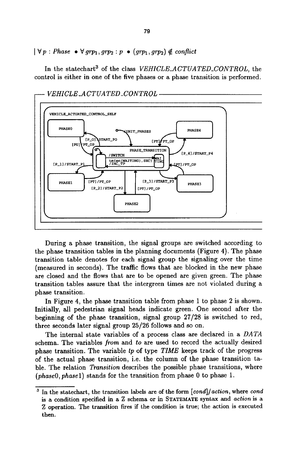$\forall p : Phase \rightarrow \forall grp_1, grp_2 : p \bullet (grp_1, grp_2) \notin conflict$ 

In the statechart<sup>3</sup> of the class *VEHICLE\_ACTUATED\_CONTROL*, the control is either in one of the five phases or a phase transition is performed.



*-- VEHICLE\_ACTUATED\_CONTROL* 

During a phase transition, the signal groups are switched according to the phase transition tables in the planning documents (Figure 4). The phase transition table denotes for each signal group the signaling over the time (measured in seconds). The traffic flows that are blocked in the new phase are closed and the flows that are to be opened are given green. The phase transition tables assure that the intergreen times are not violated during a phase transition.

In Figure 4, the phase transition table from phase 1 to phase 2 is shown. Initially, all pedestrian signal heads indicate green. One second after the beginning of the phase transition, signal group 27/28 is switched to red, three seconds later signal group 25/26 follows and so on.

The internal state variables of a process class are declared in a *DATA*  schema. The variables *from* and *to* are used to record the actually desired phase transition. The variable *tp* of type *TIME* keeps track of the progress of the actual phase transition, i.e. the column of the phase transition table. The relation *Transition* describes the possible phase transitions, where *(phaseO, phasel)* stands for the transition from phase 0 to phase 1.

<sup>3</sup> In the statechart, the transition labels are of the form *[cond]/action,* where *cond*  is a condition specified in a Z schema or in STATEMATE syntax and *action* is a Z operation. The transition fires if the condition is true; the action is executed then.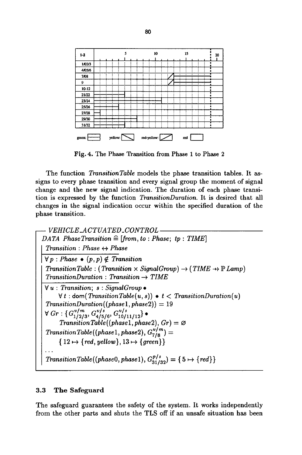

Fig. 4. The Phase Transition from Phase 1 to Phase 2

The function *Transition Table* models the phase transition tables. It assigns to every phase transition and every signal group the moment of signal change and the new signal indication. The duration of each phase transition is expressed by the function *TransitionDuration.* It is desired that all changes in the signal indication occur within the specified duration of the phase transition.

| — VEHICLE_ACTUATED-CONTROL                                                             |
|----------------------------------------------------------------------------------------|
| DATA Phase Transition $\cong$ [from, to : Phase; tp : TIME]                            |
| Transition : Phase $\leftrightarrow$ Phase                                             |
| $\forall p : Phase \bullet (p, p) \notin Transition$                                   |
| TransitionTable : (Transition × SignalGroup) $\rightarrow$ (TIME $\rightarrow$ P Lamp) |
| TransitionDuration : Transition $\rightarrow$ TIME                                     |
| $\forall u : Transition; s : SignalGroup \bullet$                                      |
| $\forall u : Transition; s : SignalGroup \bullet$                                      |
| $\forall t : dom( TransitionTable(u, s)) \bullet t < TransitionDuration(u)$            |
| TransitionDuration((phase1, phase2)) = 19                                              |
| $\forall Gr : \{G_1^{v/m}, G_1^{v/s}, G_1^{v/s}, G_1^{v/s}) =$                         |
| transition Table((phase1, phase2), Gr) = ∅                                             |
| transitionTable((phase1, phase2), G_7^{v/m}) =                                         |
| transitionTable((phase1, phase2), G_7^{v/m}) =                                         |
| 12 $\mapsto$ {red, yellow}, 13 $\mapsto$ {green}                                       |
| ...                                                                                    |
| Transition Table((phase0, phase1), G_{31/32}^{p/s}) = {5 \mapsto                       |

#### 3.3 The Safeguard

The safeguard guarantees the safety of the system. It works independently from the other parts and shuts the TLS off if an unsafe situation has been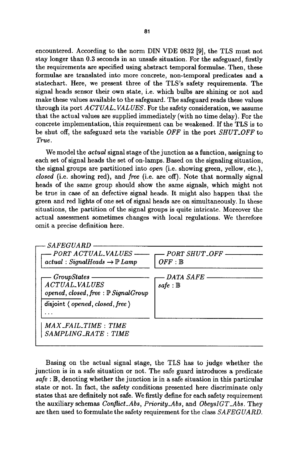encountered. According to the norm DIN VDE 0832 [9], the TLS must not stay longer than 0.3 seconds in an unsafe situation. For the safeguard, firstly the requirements are specified using abstract temporal formulae. Then, these formulae are translated into more concrete, non-temporal predicates and a statechart. Here, we present three of the TLS's safety requirements. The signal heads sensor their own state, i.e. which bulbs are shining or not and make these values available to the safeguard. The safeguard reads these values through its port *ACTUAL\_VALUES.* For the safety consideration, we assume that the actual values are supplied immediately (with no time delay). For the concrete implementation, this requirement can be weakened. If the TLS is to be shut off, the safeguard sets the variable *OFF* in the port *SHUT\_OFF* to *True.* 

We model the *actual* signal stage of the junction as a function, assigning to each set of signal heads the set of on-lamps. Based on the signaling situation, the signal groups are partitioned into *open* (i.e. showing green, yellow, etc.), *closed* (i.e. showing red), and *free* (i.e. are off). Note that normally signal heads of the same group should show the same signals, which might not be true in case of an defective signal heads. It might also happen that the green and red lights of one set of signal heads are on simultaneously. In these situations, the partition of the signal groups is quite intricate. Moreover the actual assessment sometimes changes with local regulations. We therefore omit a precise definition here.

| <i>SAFEGUARD</i><br>$actual: SignalHeads \rightarrow \mathbb{P}$ Lamp                                                        | PORT SHUT_OFF —<br>$OFF: \mathbb{B}$     |
|------------------------------------------------------------------------------------------------------------------------------|------------------------------------------|
| $GroupStates-$<br><b>ACTUAL_VALUES</b><br>opened, closed, free : $\mathbb P$ Signal Group<br>disjoint (opened, closed, free) | – DATA SAFE – – –<br>$safe : \mathbb{B}$ |
| <i>MAX_FAIL_TIME: TIME</i><br><i>SAMPLING_RATE : TIME</i>                                                                    |                                          |

Basing on the actual signal stage, the TLS has to judge whether the junction is in a safe situation or not. The safe guard introduces a predicate  $safe: \mathbb{B}$ , denoting whether the junction is in a safe situation in this particular state or not. In fact, the safety conditions presented here discriminate only states that are definitely not safe. We firstly define for each safety requirement the auxiliary schemas *Conflict\_Abs, Priority.,4bs,* and *ObeysIGT\_Abs.* They are then used to formulate the safety requirement for the class *SAFEGUARD.*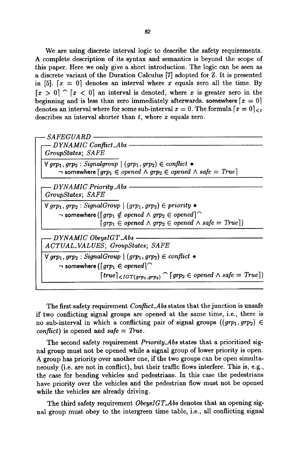We are using discrete interval logic to describe the safety requirements. A complete description of its syntax and semantics is beyond the scope of this paper. Here we only give a short introduction. The logic can be seen as a discrete variant of the Duration Calculus [7] adopted for Z. It is presented in [5].  $[x = 0]$  denotes an interval where x equals zero all the time. By  $[x > 0]$  [x < 0] an interval is denoted, where x is greater zero in the beginning and is less than zero immediately afterwards, somewhere  $[x = 0]$ denotes an interval where for some sub-interval  $x = 0$ . The formula  $\lceil x = 0 \rceil_{\leq t}$ describes an interval shorter than  $t$ , where  $x$  equals zero.



The first safety requirement *Conflict..Abs* states that the junction is unsafe if two conflicting signal groups are opened at the same time, i.e., there is no sub-interval in which a conflicting pair of signal groups  $((qrp_1, qrp_2) \in$ *conflict)* is opened and *safe = True.* 

The second safety requirement *Priority\_Abs* states that a prioritized signal group must not be opened while a signal group of lower priority is open. A group has priority over another one, if the two groups can be open simultaneously (i.e. are not in conflict), but their traffic flows interfere. This is, e.g., the case for bending vehicles and pedestrians. In this case the pedestrians have priority over the vehicles and the pedestrian flow must not be opened while the vehicles are already driving.

The third safety requirement *ObeyslGT\_Abs* denotes that an opening signal group must obey to the intergreen time table, i.e., all conflicting signal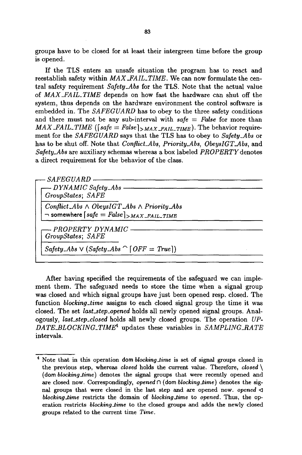groups have to be closed for at least their intergreen time before the group is opened.

If the TLS enters an unsafe situation the program has to react and reestablish safety within *MAX\_FAIL\_TIME.* We can now formulate the central safety requirement *Safety\_Abs* for the TLS. Note that the actual value of *MAX\_FAIL\_TIME* depends on how fast the hardware can shut off the system, thus depends on the hardware environment the control software is embedded in. The *SAFEGUARD* has to obey to the three safety conditions and there must not be any sub-interval with *safe = False* for more than *MAX\_FAIL\_TIME* ([safe = False]  $>$  *MAX\_FAIL\_TIME*). The behavior requirement for the *SAFEGUARD* says that the TLS has to obey to *Safety\_Abs* or has to be shut off. Note that *Conflict\_Abs, Priority\_Abs, ObeyslGT\_Abs,* and *Safety\_Abs* are auxiliary schemas whereas a box labeled *PROPERTY denotes*  a direct requirement for the behavior of the class.

| <i>SAFEGUARD</i> -<br>$-DYNAMIC$ Safety_Abs ——<br>GroupStates; SAFE                                        |
|------------------------------------------------------------------------------------------------------------|
| Conflict Abs $\land$ ObeysIGT Abs $\land$ Priority Abs<br>$\lnot$ somewhere $[safe = False]_{>MAX\_FALSE}$ |
| GroupStates; SAFE                                                                                          |
| Safety_Abs $\vee$ (Safety_Abs $\cap$ [OFF = True])                                                         |

After having specified the requirements of the safeguard we can implement them. The safeguard needs to store the time when a signal group was closed and which signal groups have just been opened resp. closed. The function *blocking\_time* assigns to each closed signal group the time it was closed. The set *last\_step\_opened* holds all newly opened signal groups. Analogously, *last\_step\_closed* holds all newly closed groups. The operation *UP-DATE\_BLOCKING\_TIME 4* updates these variables in *SAMPLING\_RATE*  intervals.

<sup>&</sup>lt;sup>4</sup> Note that in this operation dom *blocking\_time* is set of signal groups closed in the previous step, whereas *closed* holds the current value. Therefore, *closed \*  (dora *blocking\_time)* denotes the signal groups that were recently opened and are closed now. Correspondingly, *opened*  $\cap$  (dom *blocking\_time*) denotes the signal groups that were closed in the last step and are opened now. *opened <1 blocking\_time* restricts the domain of *blocking.time* to *opened.* Thus, the operation restricts *blocking\_time* to the closed groups and adds the newly closed groups related to the current time *Time.*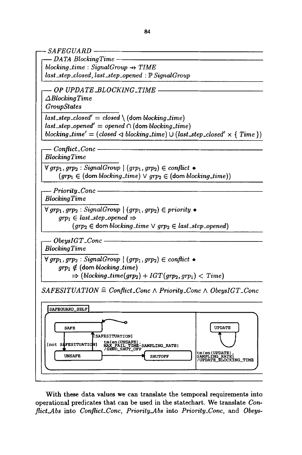

 $\forall$  grp<sub>1</sub>, grp<sub>2</sub> : SignalGroup  $\mid$  (grp<sub>1</sub>, grp<sub>2</sub>)  $\in$  priority  $\bullet$  $grp_1 \in last\_step\_opened \Rightarrow$  $(qrp_2 \in \text{dom blocking_time} \lor qrp_2 \in \text{last\_step\_opened})$ 



 $SAFESTUATION \cong Conflict\_{Cont}$   $\wedge$  Priority\_Conc  $\wedge$  ObeyslGT\_Conc



With these data values we can translate the temporal requirements into operational predicates that can be used in the statechart. We translate *Conflict\_Abs* into *Conflict\_Conc, Priority\_Abs* into *Priority\_Conc,* and *Obeys-*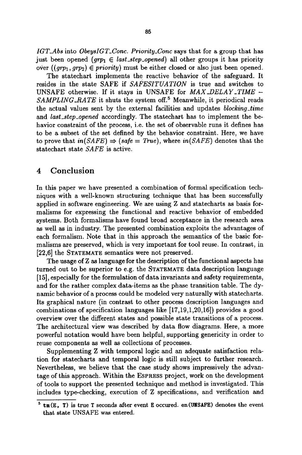*IGT.\_Abs* into *ObeysIGT\_Conc. Priority\_Conc* says that for a group that has just been opened ( $qrp_1 \in last\_step\_opened$ ) all other groups it has priority over  $((qrp_1, qrp_2) \in priority)$  must be either closed or also just been opened.

The statechart implements the reactive behavior of the safeguard. It resides in the state SAFE if *SAFESITUATION* is true and switches to UNSAFE otherwise. If it stays in UNSAFE for *MAX\_DELAY\_TIME-*SAMPLING\_RATE it shuts the system off.<sup>5</sup> Meanwhile, it periodical reads the actual values sent by the external facilities and updates *blocking\_time*  and *last\_step\_opened* accordingly. The statechart has to implement the behavior constraint of the process, i.e. the set of observable runs it defines has to be a subset of the set defined by the behavior constraint. Here, we have to prove that  $in(SAFE) \Rightarrow (safe = True)$ , where  $in(SAFE)$  denotes that the statechart state *SAFE* is active.

# **4 Conclusion**

In this paper we have presented a combination of formal specification techniques with a well-known structuring technique that has been successfully applied in software engineering. We are using Z and statecharts as basis formalisms for expressing the functional and reactive behavior of embedded systems. Both formalisms have found broad acceptance in the research area as well as in industry. The presented combination exploits the advantages of each formalism. Note that in this approach the semantics of the basic formalisms are preserved, which is very important for tool reuse. In contrast, in [22,6] the STATEMATE semantics were not preserved.

The usage of Z as language for the description of the functional aspects has turned out to be superior to e.g. the STATEMATE data description language [15], especially for the formulation of data invariants and safety requirements, and for the rather complex data-items as the phase transition table. The dynamic behavior of a process could be modeled very naturally with statecharts. Its graphical nature (in contrast to other process description languages and combinations of specification languages like [17,19,1,20,16]) provides a good overview over the different states and possible state transitions of a process. The architectural view was described by data flow diagrams. Here, a more powerful notation would have been helpful, supporting genericity in order to reuse components as well as collections of processes.

Supplementing Z with temporal logic and an adequate satisfaction relation for statecharts and temporal logic is still subject to further research. Nevertheless, we believe that the case study shows impressively the advantage of this approach. Within the ESPRESS project, work on the development of tools to support the presented technique and method is investigated. This includes type-checking, execution of Z specifications, and verification and

 $t m(E, T)$  is true T seconds after event E occured, en(UNSAFE) denotes the event that state UNSAFE was entered.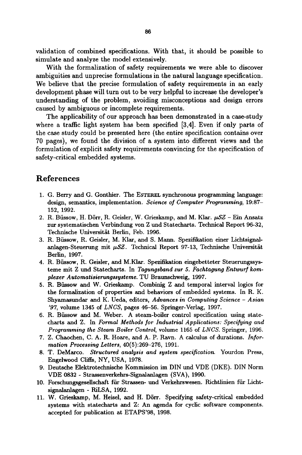validation of combined specifications. With that, it should be possible to simulate and analyze the model extensively.

With the formalization of safety requirements we were able to discover ambiguities and unprecise formulations in the natural language specification. We believe that the precise formulation of safety requirements in an early development phase will turn out to be very helpful to increase the developer's understanding of the problem, avoiding misconceptions and design errors caused by ambiguous or incomplete requirements.

The applicability of our approach has been demonstrated in a case-study where a traffic light system has been specified [3,4]. Even if only parts of the case study could be presented here (the entire specification contains over 70 pages), we found the division of a system into different views and the formulation of explicit safety requirements convincing for the specification of safety-critical embedded systems.

# **References**

- 1. G. Berry and G. Gonthier. The ESTEREL synchronous programming language: design, semantics, implementation. *Science of Computer Programming,* 19:87- 152, 1992.
- 2. R. Büssow, H. Dörr, R. Geisler, W. Grieskamp, and M. Klar.  $\mu \mathcal{S}Z$  Ein Ansatz zur systematischen Verbindung yon Z und Statecharts. Technical Report 96-32, Technische Universität Berlin, Feb. 1996.
- 3. R. B/issow, R. Geisler, M. Klar, and S. Mann. Spezifikation einer Lichtsigualanlagen-Steuerung mit  $\mu SZ$ . Technical Report 97-13, Technische Universität Berlin, 1997.
- 4. R. Büssow, R. Geisler, and M.Klar. Spezifikation eingebetteter Steuerungssysteme mit Z und Statecharts. In *Tagungsband zur 5. Fachtagung Entwurf komplexer Automatisierungssysteme.* TU Brauuschweig, 1997.
- 5. R. B/issow and W. Grieskamp. Combinig Z and temporal interval logics for the formalization of properties and behaviors of embedded systems. In R. K. Shyamasundar and K. Ueda, editors, *Advances in Computing Science - Asian*  '97, volume 1345 of *LNCS,* pages 46-56. Springer-Verlag, 1997.
- 6. R. B/issow and M. Weber. A steam-boiler control specification using statecharts and Z. In *Formal Methods ]or Industrial Applications: Specifying and Programming the Steam Boiler Control,* volume 1165 of *LNCS.* Springer, 1996.
- 7. Z. Chaochen, C. A. R. Hoare, and A. P. Ravn. A calculus of durations. *Information Processing Letters,* 40(5):269-276, 1991.
- 8. T. DeMarco. *Structured analysis and system specification.* Yourdon Press, Engelwood Cliffs, NY, USA, 1978.
- 9. Deutsche Elektrotechnische Kommission im DIN und VDE (DKE). DIN Norm VDE 0832 - Strassenverkehrs-Signalanlagen (SVA), 1990.
- 10. Forschungsgesellschaft f'fir Strassen- und Verkehrswesen. Richtlinien fiir Lichtsignalanlagen - RiLSA, 1992.
- 11. W. Grieskamp, M. Heisel, and H. Dörr. Specifying safety-critical embedded systems with statecharts and Z: An agenda for cyclic software components. accepted for publication at ETAPS'98, 1998.